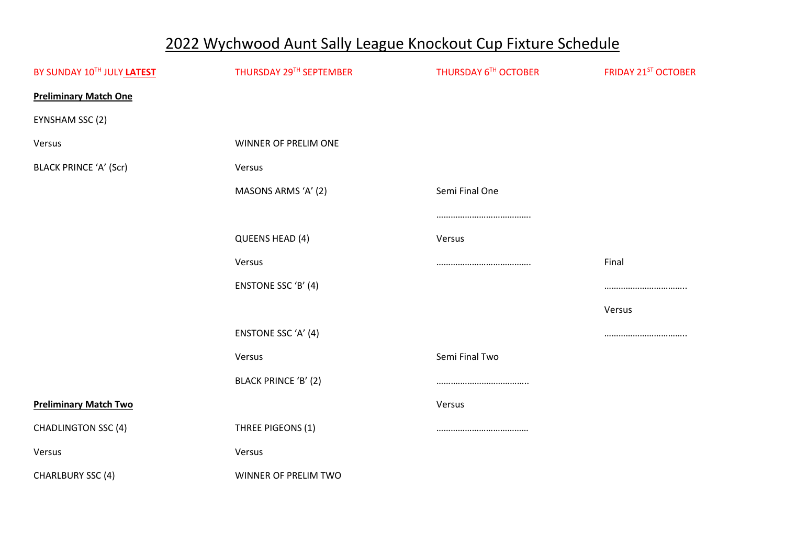## 2022 Wychwood Aunt Sally League Knockout Cup Fixture Schedule

| BY SUNDAY 10TH JULY LATEST    | THURSDAY 29TH SEPTEMBER | THURSDAY 6TH OCTOBER | <b>FRIDAY 21ST OCTOBER</b> |
|-------------------------------|-------------------------|----------------------|----------------------------|
| <b>Preliminary Match One</b>  |                         |                      |                            |
| EYNSHAM SSC (2)               |                         |                      |                            |
| Versus                        | WINNER OF PRELIM ONE    |                      |                            |
| <b>BLACK PRINCE 'A' (Scr)</b> | Versus                  |                      |                            |
|                               | MASONS ARMS 'A' (2)     | Semi Final One       |                            |
|                               |                         |                      |                            |
|                               | QUEENS HEAD (4)         | Versus               |                            |
|                               | Versus                  |                      | Final                      |
|                               | ENSTONE SSC 'B' (4)     |                      |                            |
|                               |                         |                      | Versus                     |
|                               | ENSTONE SSC 'A' (4)     |                      |                            |
|                               | Versus                  | Semi Final Two       |                            |
|                               | BLACK PRINCE 'B' (2)    |                      |                            |
| <b>Preliminary Match Two</b>  |                         | Versus               |                            |
| <b>CHADLINGTON SSC (4)</b>    | THREE PIGEONS (1)       |                      |                            |
| Versus                        | Versus                  |                      |                            |
| <b>CHARLBURY SSC (4)</b>      | WINNER OF PRELIM TWO    |                      |                            |